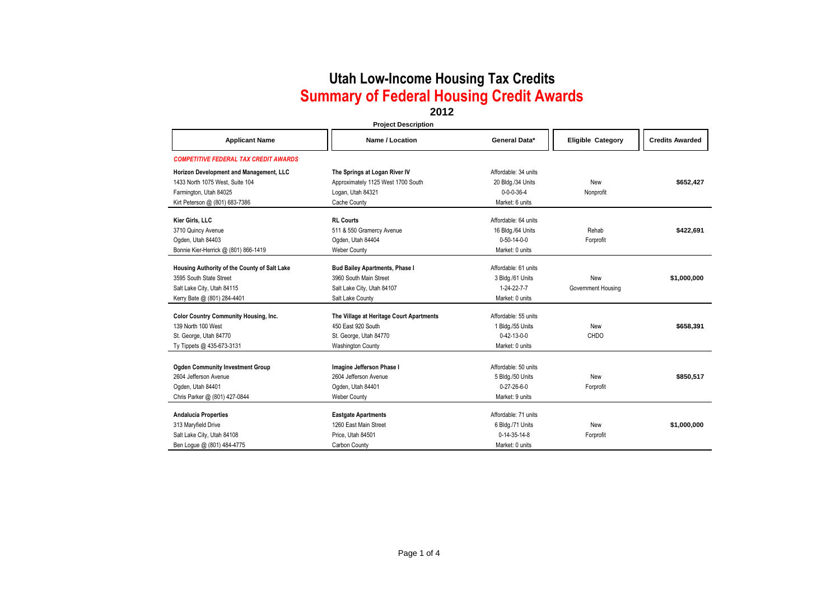### **2012**

| <b>Project Description</b>                   |                                          |                       |                          |                        |
|----------------------------------------------|------------------------------------------|-----------------------|--------------------------|------------------------|
| <b>Applicant Name</b>                        | Name / Location                          | General Data*         | <b>Eligible Category</b> | <b>Credits Awarded</b> |
| <b>COMPETITIVE FEDERAL TAX CREDIT AWARDS</b> |                                          |                       |                          |                        |
| Horizon Development and Management, LLC      | The Springs at Logan River IV            | Affordable: 34 units  |                          |                        |
| 1433 North 1075 West, Suite 104              | Approximately 1125 West 1700 South       | 20 Bldg./34 Units     | New                      | \$652,427              |
| Farmington, Utah 84025                       | Logan, Utah 84321                        | $0 - 0 - 0 - 36 - 4$  | Nonprofit                |                        |
| Kirt Peterson @ (801) 683-7386               | Cache County                             | Market: 6 units       |                          |                        |
| Kier Girls, LLC                              | <b>RL Courts</b>                         | Affordable: 64 units  |                          |                        |
| 3710 Quincy Avenue                           | 511 & 550 Gramercy Avenue                | 16 Bldg./64 Units     | Rehab                    | \$422,691              |
| Ogden, Utah 84403                            | Ogden, Utah 84404                        | $0 - 50 - 14 - 0 - 0$ | Forprofit                |                        |
| Bonnie Kier-Herrick @ (801) 866-1419         | <b>Weber County</b>                      | Market: 0 units       |                          |                        |
| Housing Authority of the County of Salt Lake | <b>Bud Bailey Apartments, Phase I</b>    | Affordable: 61 units  |                          |                        |
| 3595 South State Street                      | 3960 South Main Street                   | 3 Bldg./61 Units      | New                      | \$1,000,000            |
| Salt Lake City, Utah 84115                   | Salt Lake City, Utah 84107               | 1-24-22-7-7           | Government Housing       |                        |
| Kerry Bate @ (801) 284-4401                  | Salt Lake County                         | Market: 0 units       |                          |                        |
| <b>Color Country Community Housing, Inc.</b> | The Village at Heritage Court Apartments | Affordable: 55 units  |                          |                        |
| 139 North 100 West                           | 450 East 920 South                       | 1 Bldg./55 Units      | New                      | \$658,391              |
| St. George, Utah 84770                       | St. George, Utah 84770                   | $0 - 42 - 13 - 0 - 0$ | CHDO                     |                        |
| Ty Tippets @ 435-673-3131                    | <b>Washington County</b>                 | Market: 0 units       |                          |                        |
| <b>Ogden Community Investment Group</b>      | Imagine Jefferson Phase I                | Affordable: 50 units  |                          |                        |
| 2604 Jefferson Avenue                        | 2604 Jefferson Avenue                    | 5 Bldg./50 Units      | New                      | \$850,517              |
| Ogden, Utah 84401                            | Ogden, Utah 84401                        | $0 - 27 - 26 - 6 - 0$ | Forprofit                |                        |
| Chris Parker @ (801) 427-0844                | <b>Weber County</b>                      | Market: 9 units       |                          |                        |
| <b>Andalucia Properties</b>                  | <b>Eastgate Apartments</b>               | Affordable: 71 units  |                          |                        |
| 313 Maryfield Drive                          | 1260 East Main Street                    | 6 Bldg./71 Units      | New                      | \$1,000,000            |
| Salt Lake City, Utah 84108                   | Price, Utah 84501                        | $0-14-35-14-8$        | Forprofit                |                        |
| Ben Logue @ (801) 484-4775                   | Carbon County                            | Market: 0 units       |                          |                        |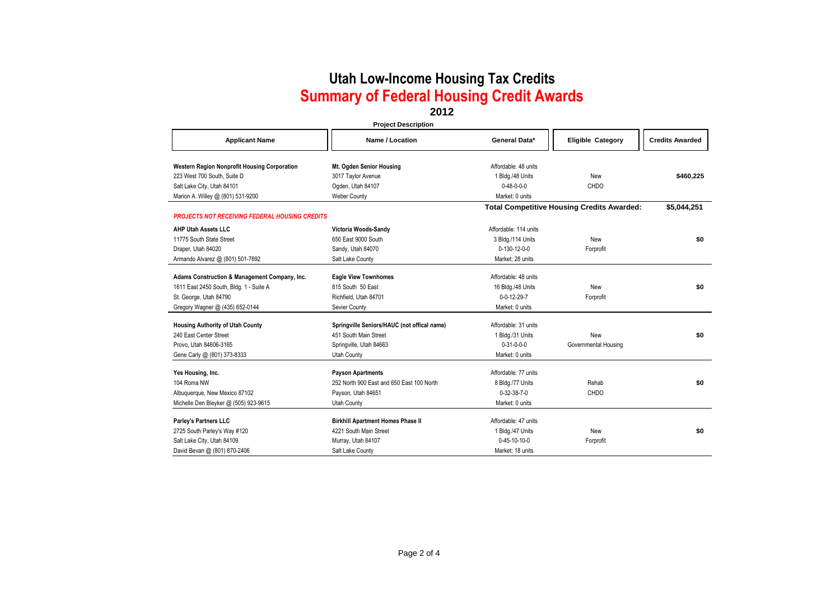### **2012**

#### **Project Description**

| <b>Applicant Name</b>                                                       | Name / Location                             | General Data*         | <b>Eligible Category</b>                          | <b>Credits Awarded</b> |
|-----------------------------------------------------------------------------|---------------------------------------------|-----------------------|---------------------------------------------------|------------------------|
|                                                                             |                                             | Affordable: 48 units  |                                                   |                        |
| Western Region Nonprofit Housing Corporation<br>223 West 700 South, Suite D | Mt. Ogden Senior Housing                    |                       | New                                               |                        |
|                                                                             | 3017 Taylor Avenue                          | 1 Bldg./48 Units      |                                                   | \$460,225              |
| Salt Lake City, Utah 84101                                                  | Ogden, Utah 84107                           | $0 - 48 - 0 - 0 - 0$  | CHDO                                              |                        |
| Marion A. Willey @ (801) 531-9200                                           | <b>Weber County</b>                         | Market: 0 units       |                                                   |                        |
| <b>PROJECTS NOT RECEIVING FEDERAL HOUSING CREDITS</b>                       |                                             |                       | <b>Total Competitive Housing Credits Awarded:</b> | \$5,044,251            |
|                                                                             |                                             |                       |                                                   |                        |
| <b>AHP Utah Assets LLC</b>                                                  | Victoria Woods-Sandy                        | Affordable: 114 units |                                                   |                        |
| 11775 South State Street                                                    | 650 East 9000 South                         | 3 Bldg./114 Units     | New                                               | \$0                    |
| Draper, Utah 84020                                                          | Sandy, Utah 84070                           | 0-130-12-0-0          | Forprofit                                         |                        |
| Armando Alvarez @ (801) 501-7692                                            | Salt Lake County                            | Market: 28 units      |                                                   |                        |
| Adams Construction & Management Company, Inc.                               | <b>Eagle View Townhomes</b>                 | Affordable: 48 units  |                                                   |                        |
| 1611 East 2450 South, Bldg. 1 - Suite A                                     | 815 South 50 East                           | 16 Bldg./48 Units     | New                                               | \$0                    |
| St. George, Utah 84790                                                      | Richfield, Utah 84701                       | $0 - 0 - 12 - 29 - 7$ | Forprofit                                         |                        |
| Gregory Wagner @ (435) 652-0144                                             | Sevier County                               | Market: 0 units       |                                                   |                        |
| <b>Housing Authority of Utah County</b>                                     | Springville Seniors/HAUC (not offical name) | Affordable: 31 units  |                                                   |                        |
| 240 East Center Street                                                      | 451 South Main Street                       | 1 Bldg./31 Units      | New                                               | \$0                    |
| Provo, Utah 84606-3165                                                      | Springville, Utah 84663                     | $0 - 31 - 0 - 0 - 0$  | Governmental Housing                              |                        |
| Gene Carly @ (801) 373-8333                                                 | <b>Utah County</b>                          | Market: 0 units       |                                                   |                        |
|                                                                             |                                             |                       |                                                   |                        |
| Yes Housing, Inc.                                                           | <b>Payson Apartments</b>                    | Affordable: 77 units  |                                                   |                        |
| 104 Roma NW                                                                 | 252 North 900 East and 650 East 100 North   | 8 Bldg./77 Units      | Rehab                                             | \$0                    |
| Albuquerque, New Mexico 87102                                               | Payson, Utah 84651                          | $0 - 32 - 38 - 7 - 0$ | <b>CHDO</b>                                       |                        |
| Michelle Den Bleyker @ (505) 923-9615                                       | <b>Utah County</b>                          | Market: 0 units       |                                                   |                        |
| Parley's Partners LLC                                                       | <b>Birkhill Apartment Homes Phase II</b>    | Affordable: 47 units  |                                                   |                        |
| 2725 South Parley's Way #120                                                | 4221 South Main Street                      | 1 Bldg./47 Units      | New                                               | \$0                    |
| Salt Lake City, Utah 84109                                                  | Murray, Utah 84107                          | 0-45-10-10-0          | Forprofit                                         |                        |
| David Bevan @ (801) 870-2406                                                | Salt Lake County                            | Market: 18 units      |                                                   |                        |
|                                                                             |                                             |                       |                                                   |                        |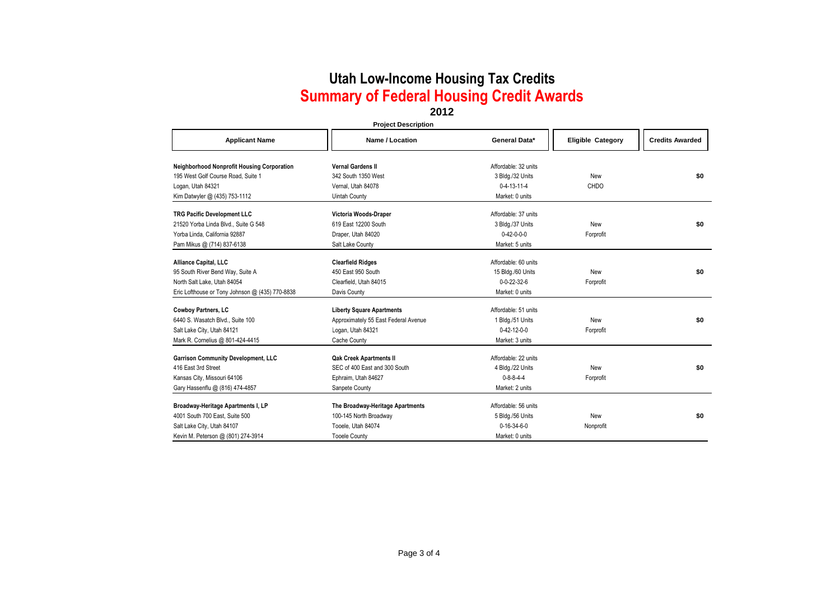### **2012**

#### **Project Description**

| <b>Applicant Name</b>                             | Name / Location                      | General Data*         | <b>Eligible Category</b> | <b>Credits Awarded</b> |
|---------------------------------------------------|--------------------------------------|-----------------------|--------------------------|------------------------|
| <b>Neighborhood Nonprofit Housing Corporation</b> | <b>Vernal Gardens II</b>             | Affordable: 32 units  |                          |                        |
| 195 West Golf Course Road, Suite 1                | 342 South 1350 West                  | 3 Bldg./32 Units      | New                      | \$0                    |
| Logan, Utah 84321                                 | Vernal, Utah 84078                   | $0-4-13-11-4$         | CHDO                     |                        |
| Kim Datwyler @ (435) 753-1112                     | <b>Uintah County</b>                 | Market: 0 units       |                          |                        |
| <b>TRG Pacific Development LLC</b>                | Victoria Woods-Draper                | Affordable: 37 units  |                          |                        |
| 21520 Yorba Linda Blvd., Suite G 548              | 619 East 12200 South                 | 3 Bldg./37 Units      | New                      | \$0                    |
| Yorba Linda, California 92887                     | Draper, Utah 84020                   | $0 - 42 - 0 - 0 - 0$  | Forprofit                |                        |
| Pam Mikus @ (714) 837-6138                        | Salt Lake County                     | Market: 5 units       |                          |                        |
| Alliance Capital, LLC                             | <b>Clearfield Ridges</b>             | Affordable: 60 units  |                          |                        |
| 95 South River Bend Way, Suite A                  | 450 East 950 South                   | 15 Bldg./60 Units     | New                      | \$0                    |
| North Salt Lake, Utah 84054                       | Clearfield. Utah 84015               | $0 - 0 - 22 - 32 - 6$ | Forprofit                |                        |
| Eric Lofthouse or Tony Johnson @ (435) 770-8838   | Davis County                         | Market: 0 units       |                          |                        |
| Cowboy Partners, LC                               | <b>Liberty Square Apartments</b>     | Affordable: 51 units  |                          |                        |
| 6440 S. Wasatch Blvd., Suite 100                  | Approximately 55 East Federal Avenue | 1 Bldg./51 Units      | New                      | \$0                    |
| Salt Lake City, Utah 84121                        | Logan, Utah 84321                    | $0 - 42 - 12 - 0 - 0$ | Forprofit                |                        |
| Mark R. Cornelius @ 801-424-4415                  | Cache County                         | Market: 3 units       |                          |                        |
| <b>Garrison Community Development, LLC</b>        | <b>Qak Creek Apartments II</b>       | Affordable: 22 units  |                          |                        |
| 416 East 3rd Street                               | SEC of 400 East and 300 South        | 4 Bldg./22 Units      | New                      | \$0                    |
| Kansas City, Missouri 64106                       | Ephraim, Utah 84627                  | $0 - 8 - 8 - 4 - 4$   | Forprofit                |                        |
| Gary Hassenflu @ (816) 474-4857                   | Sanpete County                       | Market: 2 units       |                          |                        |
| Broadway-Heritage Apartments I, LP                | The Broadway-Heritage Apartments     | Affordable: 56 units  |                          |                        |
| 4001 South 700 East, Suite 500                    | 100-145 North Broadway               | 5 Bldg./56 Units      | New                      | \$0                    |
| Salt Lake City, Utah 84107                        | Tooele, Utah 84074                   | $0 - 16 - 34 - 6 - 0$ | Nonprofit                |                        |
| Kevin M. Peterson @ (801) 274-3914                | <b>Tooele County</b>                 | Market: 0 units       |                          |                        |